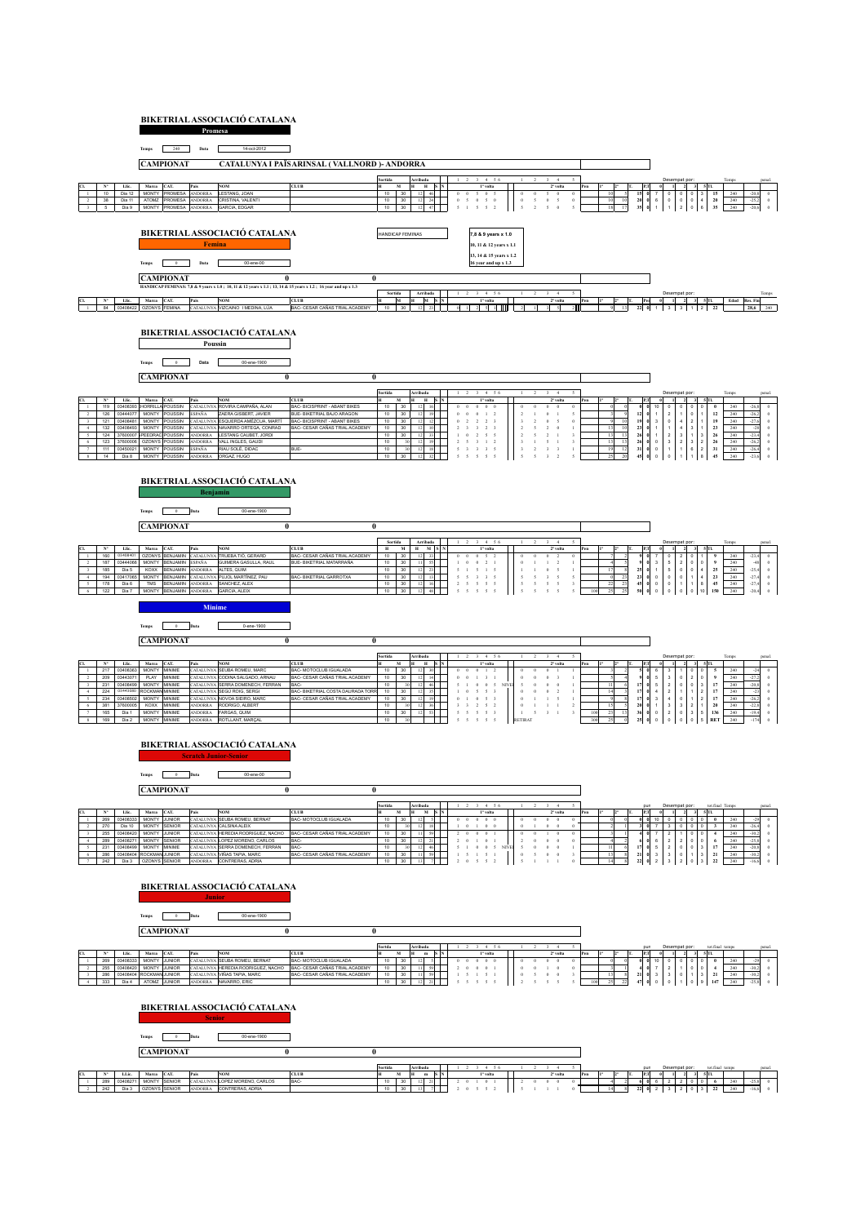## **BIKETRIAL ASSOCIACIÓ CATALANA Promesa**



<u>CLIN (Marca C</u>LT, Marca CLT, Marca CLT, MOM CLT, CLT, CLT, MOM DE MIN DI MIN DI MIN DI MIN DI MIN DI 2008 ONGEZIO DE L'ANNI DI 2009 DE L'ANNI DI 2009 DE L'ANNI DI 2009 DE L'ANNI DI 2009 DE L'ANNI DI DI MIN DI 2009 DE L'A  $\frac{1}{2}$   $\frac{2}{2}$   $\frac{3}{2}$   $\frac{5}{1}$ <br>3  $\frac{2}{1}$  0 3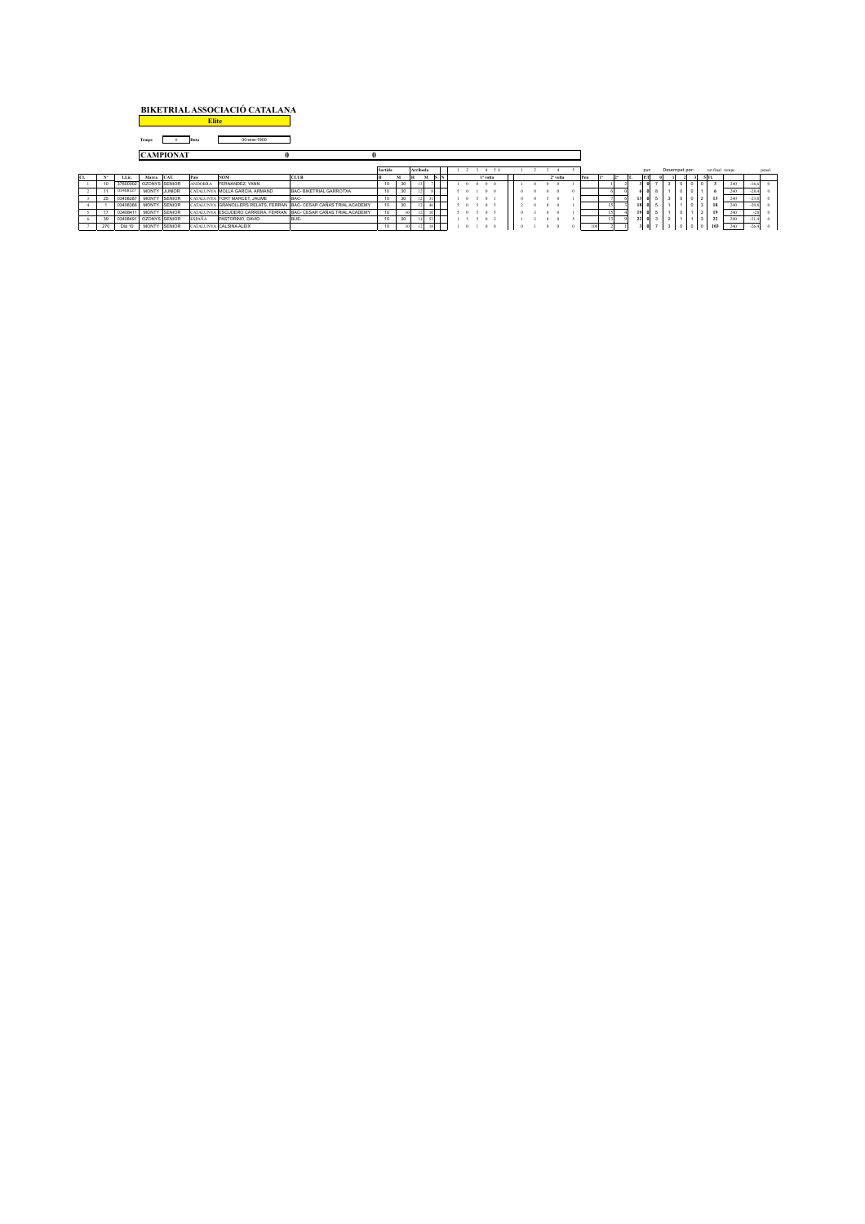| BIKETRIAL ASSOCIACIÓ CATALANA |  |
|-------------------------------|--|
| <b>Elite</b>                  |  |

 $\overline{\mathbf{1}}$ **Temps** 0 **Data** 00-ene-1900

|  |     |                        | <b>CAMPIONAT</b> |        |                |                                |                                                                     |         |    |          |  |  |                      |               |  |  |                      |  |  |     |  |  |                 |  |            |                 |                            |             |        |         |  |
|--|-----|------------------------|------------------|--------|----------------|--------------------------------|---------------------------------------------------------------------|---------|----|----------|--|--|----------------------|---------------|--|--|----------------------|--|--|-----|--|--|-----------------|--|------------|-----------------|----------------------------|-------------|--------|---------|--|
|  |     |                        |                  |        |                |                                |                                                                     | Sortida |    | Arribada |  |  |                      |               |  |  |                      |  |  | pun |  |  | Desempat por:   |  |            | tot.final temps |                            |             | penal. |         |  |
|  |     | LLic.                  | Marca            | CAT.   | Pais           | <b>NOM</b>                     | <b>CLUB</b>                                                         |         |    |          |  |  | 1 <sup>2</sup> volta |               |  |  | 2 <sup>°</sup> volta |  |  | Pen |  |  | <b>PT</b>       |  |            |                 |                            | <b>5 TL</b> |        |         |  |
|  |     | 37600002               | OZONYS SENIOR    |        | <b>ANDORRA</b> | FERNANDEZ, YANN                |                                                                     |         | 30 |          |  |  |                      |               |  |  |                      |  |  |     |  |  |                 |  |            |                 |                            |             |        |         |  |
|  |     | 03408327               | MONTY JUNIOR     |        |                | CATALUNYA MOLLÀ GARCIA. ARMAND | BAC- BIKETRIAL GARROTXA                                             | $\sim$  | 30 |          |  |  |                      |               |  |  |                      |  |  |     |  |  |                 |  |            |                 |                            |             |        | $-28.4$ |  |
|  |     | 03408287               | MONTY SENIOR     |        |                | CATALUNYA TORT MARCET. JAUME   | BAC-                                                                |         | 30 |          |  |  |                      | $^{\circ}$    |  |  |                      |  |  |     |  |  |                 |  |            |                 | 121                        |             |        |         |  |
|  |     | 03408366               | <b>MONTY</b>     | SENIOR |                |                                | CATALUNYA IGRANOLLERS RELATS, FERRAN BAC- CESAR CAÑAS TRIAL ACADEMY |         | 30 |          |  |  |                      | - 5<br>$\sim$ |  |  |                      |  |  |     |  |  | 18 0            |  |            |                 |                            | 3 18        | 240    |         |  |
|  |     | 0340841                | MONTY SENIOR     |        |                |                                | CATALUNYA ESCUDERO CARRERA, FERRAN BAC- CESAR CAÑAS TRIAL ACADEMY   |         |    |          |  |  |                      | $\theta$      |  |  |                      |  |  |     |  |  | 19 <sub>0</sub> |  |            |                 | $\overline{\phantom{a}}$ 3 |             | 240    |         |  |
|  |     | 03408491 OZONYS SENIOR |                  |        | <b>ESPAÑA</b>  | PASTORINO, DAVID               | <b>BUE</b>                                                          |         | 30 |          |  |  |                      | $\mathbf{0}$  |  |  |                      |  |  |     |  |  | 2200            |  | $\epsilon$ |                 | $\vert$ 3                  | 22          |        |         |  |
|  | 270 | Dia 10                 | <b>MONTY</b>     | SENIOR |                | CATALUNYA CALSINA ALEIX        |                                                                     | $\sim$  |    |          |  |  |                      |               |  |  |                      |  |  |     |  |  | $\Omega$        |  |            |                 | $\overline{\phantom{a}}$   | 103         |        | $-26.4$ |  |